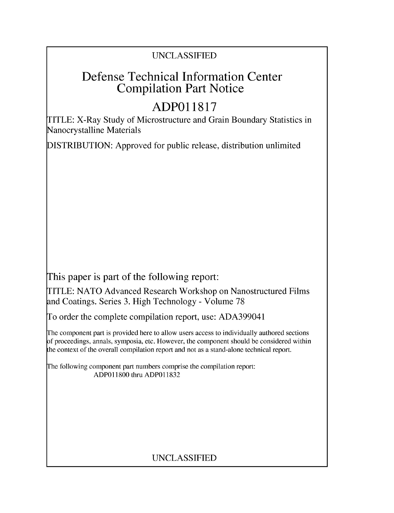## UNCLASSIFIED

# Defense Technical Information Center Compilation Part Notice

# **ADPO 11817**

TITLE: X-Ray Study of Microstructure and Grain Boundary Statistics in Nanocrystalline Materials

DISTRIBUTION: Approved for public release, distribution unlimited

This paper is part of the following report:

TITLE: NATO Advanced Research Workshop on Nanostructured Films and Coatings. Series 3. High Technology - Volume 78

To order the complete compilation report, use: ADA399041

The component part is provided here to allow users access to individually authored sections f proceedings, annals, symposia, etc. However, the component should be considered within [he context of the overall compilation report and not as a stand-alone technical report.

The following component part numbers comprise the compilation report: ADPO11800 thru ADP011832

## UNCLASSIFIED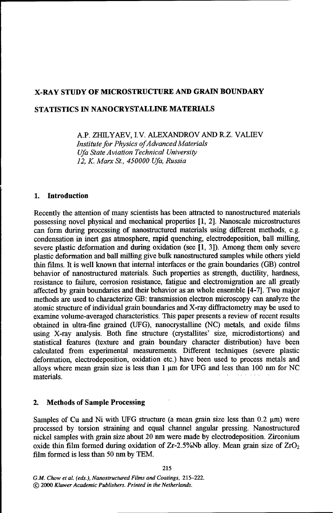### X-RAY **STUDY** OF MICROSTRUCTURE **AND GRAIN** BOUNDARY

### **STATISTICS IN NANOCRYSTALLINE** MATERIALS

A.P. ZHILYAEV, I.V. ALEXANDROV **AND** R.Z. VALLEV

*Institute for Physics ofAdvanced Materials Ufa State Aviation Technical University 12, K. Marx St., 450000 Ufa, Russia*

#### **1.** Introduction

Recently the attention of many scientists has been attracted to nanostructured materials possessing novel physical and mechanical properties [1, 2]. Nanoscale microstructures can form during processing of nanostructured materials using different methods, e.g. condensation in inert gas atmosphere, rapid quenching, electrodeposition, ball milling, severe plastic deformation and during oxidation (see [1, 3]). Among them only severe plastic deformation and ball milling give bulk nanostructured samples while others yield thin films. It is well known that internal interfaces or the grain boundaries (GB) control behavior of nanostructured materials. Such properties as strength, ductility, hardness, resistance to failure, corrosion resistance, fatigue and electromigration are all greatly affected by grain boundaries and their behavior as an whole ensemble [4-7]. Two major methods are used to characterize GB: transmission electron microscopy can analyze the atomic structure of individual grain boundaries and X-ray diffractometry may be used to examine volume-averaged characteristics. This paper presents a review of recent results obtained in ultra-fine grained (UFG), nanocrystalline (NC) metals, and oxide films using X-ray analysis. Both fine structure (crystallites' size, microdistortions) and statistical features (texture and grain boundary character distribution) have been calculated from experimental measurements. Different techniques (severe plastic deformation, electrodeposition, oxidation etc.) have been used to process metals and alloys where mean grain size is less than  $1 \mu m$  for UFG and less than 100 nm for NC materials.

#### 2. Methods of Sample Processing

Samples of Cu and Ni with UFG structure (a mean grain size less than  $0.2 \mu m$ ) were processed by torsion straining and equal channel angular pressing. Nanostructured nickel samples with grain size about 20 nm were made by electrodeposition. Zirconium oxide thin film formed during oxidation of  $Zr-2.5\%$ Nb alloy. Mean grain size of  $ZrO<sub>2</sub>$ film formed is less than 50 nm by TEM.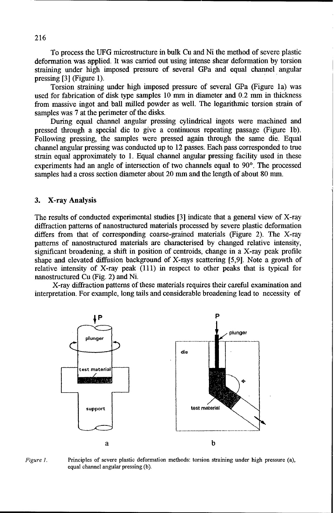To process the UFG microstructure in bulk Cu and Ni the method of severe plastic deformation was applied. It was carried out using intense shear deformation by torsion straining under high imposed pressure of several GPa and equal channel angular pressing **[31** (Figure 1).

Torsion straining under high imposed pressure of several GPa (Figure la) was used for fabrication of disk type samples 10 nun in diameter and 0.2 mm in thickness from massive ingot and ball milled powder as well. The logarithmic torsion strain of samples was 7 at the perimeter of the disks.

During equal channel angular pressing cylindrical ingots were machined and pressed through a special die to give a continuous repeating passage (Figure lb). Following pressing, the samples were pressed again through the same die. Equal channel angular pressing was conducted up to 12 passes. Each pass corresponded to true strain equal approximately to 1. Equal channel angular pressing facility used in these experiments had an angle of intersection of two channels equal to  $90^\circ$ . The processed samples had a cross section diameter about 20 mm and the length of about 80 mm.

#### 3. X-ray Analysis

The results of conducted experimental studies [3] indicate that a general view of X-ray diffraction patterns of nanostructured materials processed by severe plastic deformation differs from that of corresponding coarse-grained materials (Figure 2). The X-ray patterns of nanostructured materials are characterised by changed relative intensity, significant broadening, a shift in position of centroids, change in a X-ray peak profile shape and elevated diffusion background of X-rays scattering [5,91. Note a growth of relative intensity of X-ray peak (111) in respect to other peaks that is typical for nanostructured Cu (Fig. 2) and Ni.

X-ray diffraction patterns of these materials requires their careful examination and interpretation. For example, long tails and considerable broadening lead to necessity of



*Figure 1.* Principles of severe plastic deformation methods: torsion straining under high pressure (a), equal channel angular pressing (b).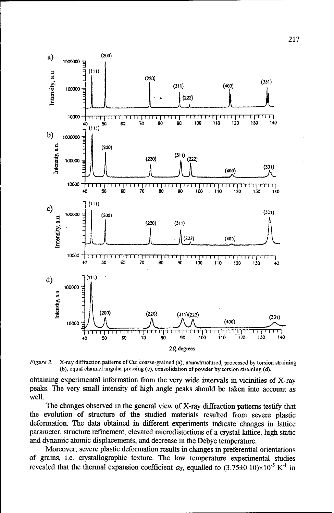

*Figure 2.* X-ray diffraction patterns of Cu: coarse-grained (a); nanostructured, processed by torsion straining (b), equal channel angular pressing (c), consolidation of powder by torsion straining (d).

obtaining experimental information from the very wide intervals in vicinities of X-ray peaks. The very small intensity of high angle peaks should be taken into account as well.

The changes observed in the general view of X-ray diffraction patterns testify that the evolution of structure of the studied materials resulted from severe plastic deformation. The data obtained in different experiments indicate changes in lattice parameter, structure refinement, elevated microdistortions of a crystal lattice, high static and dynamic atomic displacements, and decrease in the Debye temperature.

Moreover, severe plastic deformation results in changes in preferential orientations of grains, i.e. crystallographic texture. The low temperature experimental studies revealed that the thermal expansion coefficient  $\alpha_T$ , equalled to  $(3.75\pm0.10)\times10^{-5}$  K<sup>-1</sup> in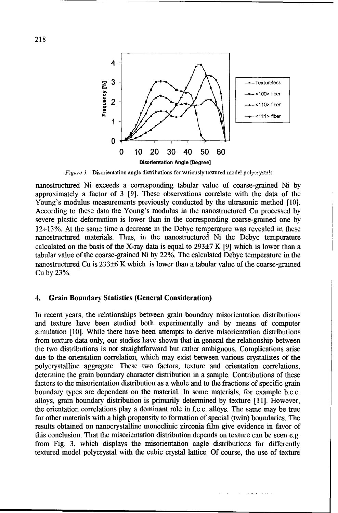

Figure 3. Disorientation angle distributions for variously textured model polycrystals

nanostructured Ni exceeds a corresponding tabular value of coarse-grained Ni by approximately a factor of 3 [9]. These observations correlate with the data of the Young's modulus measurements previously conducted by the ultrasonic method **[101.** According to these data the Young's modulus in the nanostructured Cu processed by severe plastic deformation is lower than in the corresponding coarse-grained one by 12÷13%. At the same time a decrease in the Debye temperature was revealed in these nanostructured materials. Thus, in the nanostructured Ni the Debye temperature calculated on the basis of the X-ray data is equal to  $293\pm7$  K [9] which is lower than a tabular value of the coarse-grained Ni by 22%. The calculated Debye temperature in the nanostructured Cu is 233±6 K which is lower than a tabular value of the coarse-grained Cu by 23%.

#### 4. Grain Boundary Statistics (General Consideration)

In recent years, the relationships between grain boundary misorientation distributions and texture have been studied both experimentally and by means of computer simulation [101. While there have been attempts to derive misorientation distributions from texture data only, our studies have shown that in general the relationship between the two distributions is not straightforward but rather ambiguous. Complications arise due to the orientation correlation, which may exist between various crystallites of the polycrystalline aggregate. These two factors, texture and orientation correlations, determine the grain boundary character distribution in a sample. Contributions of these factors to the misorientation distribution as a whole and to the fractions of specific grain boundary types are dependent on the material. In some materials, for example b.c.c. alloys, grain boundary distribution is primarily determined by texture [11]. However, the orientation correlations play a dominant role in **f,** c.c alloys. The same may be true for other materials with a high propensity to formation of special (twin) boundaries. The results obtained on nanocrystalline monoclinic zirconia film give evidence in favor of this conclusion. That the misorientation distribution depends on texture can be seen e.g. from Fig. 3, which displays the misorientation angle distributions for differently textured model polycrystal with the cubic crystal lattice. Of course, the use of texture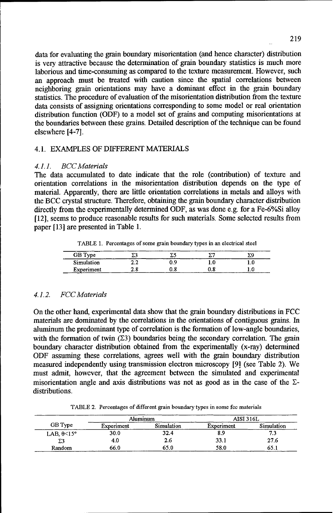data for evaluating the grain boundary misorientation (and hence character) distribution is very attractive because the determination of grain boundary statistics is much more laborious and time-consuming as compared to the texture measurement. However, such an approach must be treated with caution since the spatial correlations between neighboring grain orientations may have a dominant effect in the grain boundary statistics. The procedure of evaluation of the misorientation distribution from the texture data consists of assigning orientations corresponding to some model or real orientation distribution function (ODF) to a model set of grains and computing misorientations at the boundaries between these grains. Detailed description of the technique can be found elsewhere [4-71.

#### 4.1. EXAMPLES OF DIFFERENT MATERIALS

#### *4.1.1. BCC Materials*

The data accumulated to date indicate that the role (contribution) of texture and orientation correlations in the misorientation distribution depends on the type of material. Apparently, there are little orientation correlations in metals and alloys with the BCC crystal structure. Therefore, obtaining the grain boundary character distribution directly from the experimentally determined ODF, as was done e.g. for a Fe-6%Si alloy [12], seems to produce reasonable results for such materials. Some selected results from paper [13] are presented in Table 1.

TABLE 1. Percentages of some grain boundary types in an electrical steel

| GB Type    |          | $\cdots$ | --------<br>------ |  |
|------------|----------|----------|--------------------|--|
| Simulation | י<br>4.4 |          |                    |  |
| Experiment | ıС       |          | <b>CONTRACTOR</b>  |  |

#### *4.1.2. FCC Materials*

On the other hand, experimental data show that the grain boundary distributions in FCC materials are dominated by the correlations in the orientations of contiguous grains. In aluminum the predominant type of correlation is the formation of low-angle boundaries, with the formation of twin  $(\Sigma 3)$  boundaries being the secondary correlation. The grain boundary character distribution obtained from the experimentally (x-ray) determined ODF assuming these correlations, agrees well with the grain boundary distribution measured independently using transmission electron microscopy [9] (see Table 2). We must admit, however, that the agreement between the simulated and experimental misorientation angle and axis distributions was not as good as in the case of the  $\Sigma$ distributions.

TABLE 2. Percentages of different grain boundary types in some fcc materials

|                     | Aluminum   |            | AISI 316L  |            |
|---------------------|------------|------------|------------|------------|
| GB Type             | Experiment | Simulation | Experiment | Simulation |
| LAB, $\theta$ < 15° | 30.0       | 32.4       | 8.9        | 7.3        |
| Σ3                  | 4.0        | 2.6        | 33.1       | 27.6       |
| Random              | 66.0       | 65.0       | 58.0       | 65.1       |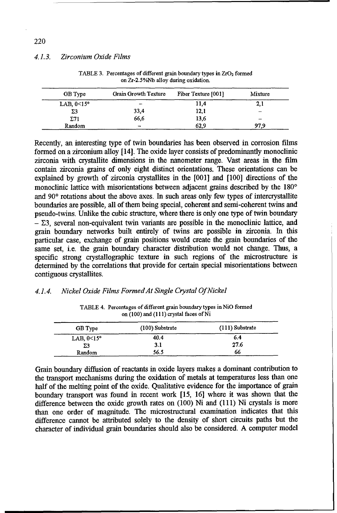#### *4.1.3. Zirconium Oxide Films*

| GB Type            | Grain Growth Texture     | Fiber Texture [001] | Mixture |
|--------------------|--------------------------|---------------------|---------|
| LAB, $\theta$ <15° |                          | 11,4                | 2,1     |
| Σ3                 | 33,4                     | 12,1                |         |
| $\Sigma$ 71        | 66,6                     | 13,6                | -       |
| Random             | $\overline{\phantom{m}}$ | 62,9                | 97.9    |

TABLE 3. Percentages of different grain boundary types in  $ZrO<sub>2</sub>$  formed on Zr-2.5%Nb alloy during oxidation.

Recently, an interesting type of twin boundaries has been observed in corrosion films formed on a zirconium alloy [14]. The oxide layer consists of predominantly monoclinic zirconia with crystallite dimensions in the nanometer range. Vast areas in the film contain zirconia grains of only eight distinct orientations. These orientations can be explained by growth of zirconia crystallites in the [0011 and [100] directions of the monoclinic lattice with misorientations between adjacent grains described by the 180<sup>o</sup> and **900** rotations about the above axes. In such areas only few types of intercrystallite boundaries are possible, all of them being special, coherent and semi-coherent twins and pseudo-twins. Unlike the cubic structure, where there is only one type of twin boundary  $\Sigma$ 3, several non-equivalent twin variants are possible in the monoclinic lattice, and grain boundary networks built entirely of twins are possible in zirconia. In this particular case, exchange of grain positions would create the grain boundaries of the same set, i.e. the grain boundary character distribution would not change. Thus, a specific strong crystallographic texture in such regions of the microstructure is determined by the correlations that provide for certain special misorientations between contiguous crystallites.

#### *4.1.4. Nickel Oxide Films FormedAt Single Crystal Of Nickel*

| GB Type            | $(100)$ Substrate | $(111)$ Substrate |  |
|--------------------|-------------------|-------------------|--|
| LAB, $\theta$ <15° | 40.4              | 6.4               |  |
| Σ3                 | 3.1               | 27.6              |  |
| Random             | 56.5              | 66                |  |

TABLE 4. Percentages of different grain boundary types in NiO formed on (100) and (111) crystal faces of Ni

Grain boundary diffusion of reactants in oxide layers makes a dominant contribution to the transport mechanisms during the oxidation of metals at temperatures less than one half of the melting point of the oxide. Qualitative evidence for the importance of grain boundary transport was found in recent work [15, 16] where it was shown that the difference between the oxide growth rates on (100) Ni and (111) Ni crystals is more than one order of magnitude. The microstructural examination indicates that this difference cannot be attributed solely to the density of short circuits paths but the character of individual grain boundaries should also be considered. A computer model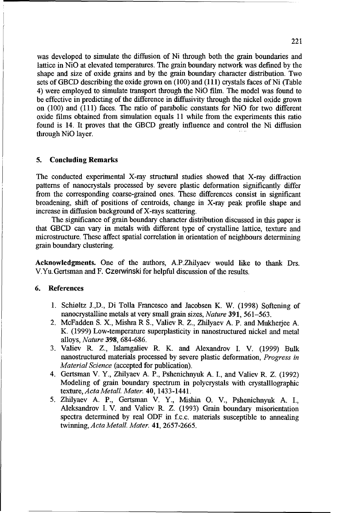was developed to simulate the diffusion of Ni through both the grain boundaries and lattice in NiO at elevated temperatures. The grain boundary network was defined by the shape and size of oxide grains and by the grain boundary character distribution. Two sets of GBCD describing the oxide grown on (100) and (111) crystals faces of Ni (Table 4) were employed to simulate transport through the NiO fill. The model was found to be effective in predicting of the difference in diffusivity through the nickel oxide grown on (100) and (111) faces. The ratio of parabolic constants for RiO for two different oxide films obtained from simulation equals 11 while from the experiments this ratio found is 14. It proves that the GBCD greatly influence and control the Ni diffusion through NiO layer.

#### 5. Concluding Remarks

The conducted experimental X-ray structural studies showed that X-ray diffraction patterns of nanocrystals processed by severe plastic deformation significantly differ from the corresponding coarse-grained ones. These differences consist in significant broadening, shift of positions of centroids, change in X-ray peak profile shape and increase in diffusion background of X-rays scattering.

The significance of grain boundary character distribution discussed in this paper is that GBCD can vary in metals with different type of crystalline lattice, texture and microstructure. These affect spatial correlation in orientation of neighbours determining grain boundary clustering.

Acknowledgments. One of the authors, A.PZhilyaev would like to thank Drs. V.Yu.Gertsman and F. Czerwinski for helpful discussion of the results.

#### 6. References

- 1. Schiøltz J.,D., Di Tolla Francesco and Jacobsen K. W. (1998) Softening of nanocrystalline metals at very small grain sizes, *Nature* 391, *561-563.*
- 2. McFadden S. X., Mishra R S., Valiev R. Z., Zhilyaev A. P. and Mukherjee A. K. (1999) Low-temperature superplasticity in nanostructured nickel and metal alloys, *Nature* 398, 684-686.
- 3. Valiev R. Z., Islamgaliev R. K. and Alexandrov I. V. (1999) Bulk nanostructured materials processed by severe plastic deformation, *Progress in Material Science* (accepted for publication).
- 4. Gertsman V. *Y.,* Zhilyaev A. P., Pshenichnyuk A. I., and Valiev R. Z. (1992) Modeling of grain boundary spectrum in polycrystals with crystalllographic texture, *Acta Metall. Mater.* 40, 1433-1441.
- *5.* Zhilyaev A. P., Gertsman V. Y., Mishin O. V., Pshenichnyuk A. I., Aleksandrov I. V. and Valiev R. Z. (1993) Grain boundary misorientation spectra determined by real ODF in f.c.c, materials susceptible to annealing twinning, *Acta Metall. Mater.* 41, *2657-2665.*